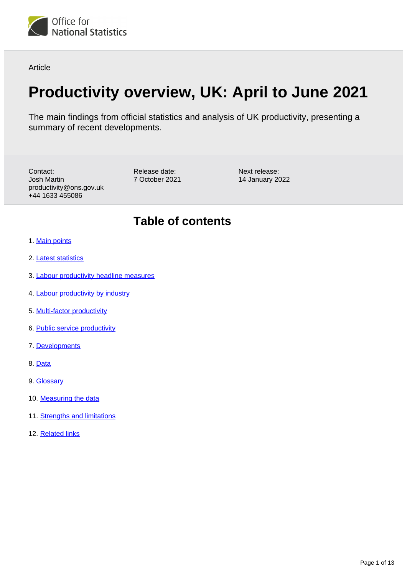

Article

# **Productivity overview, UK: April to June 2021**

The main findings from official statistics and analysis of UK productivity, presenting a summary of recent developments.

Contact: Josh Martin productivity@ons.gov.uk +44 1633 455086

Release date: 7 October 2021 Next release: 14 January 2022

## **Table of contents**

- 1. [Main points](#page-1-0)
- 2. [Latest statistics](#page-1-1)
- 3. [Labour productivity headline measures](#page-3-0)
- 4. [Labour productivity by industry](#page-4-0)
- 5. [Multi-factor productivity](#page-5-0)
- 6. [Public service productivity](#page-7-0)
- 7. [Developments](#page-9-0)
- 8. [Data](#page-9-1)
- 9. [Glossary](#page-9-2)
- 10. [Measuring the data](#page-10-0)
- 11. [Strengths and limitations](#page-11-0)
- 12. [Related links](#page-12-0)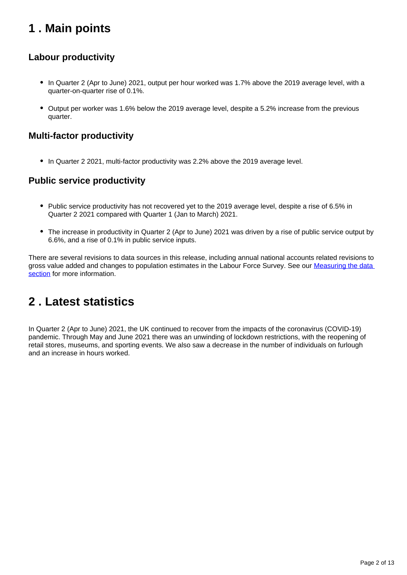## <span id="page-1-0"></span>**1 . Main points**

### **Labour productivity**

- In Quarter 2 (Apr to June) 2021, output per hour worked was 1.7% above the 2019 average level, with a quarter-on-quarter rise of 0.1%.
- Output per worker was 1.6% below the 2019 average level, despite a 5.2% increase from the previous quarter.

### **Multi-factor productivity**

• In Quarter 2 2021, multi-factor productivity was 2.2% above the 2019 average level.

### **Public service productivity**

- Public service productivity has not recovered yet to the 2019 average level, despite a rise of 6.5% in Quarter 2 2021 compared with Quarter 1 (Jan to March) 2021.
- The increase in productivity in Quarter 2 (Apr to June) 2021 was driven by a rise of public service output by 6.6%, and a rise of 0.1% in public service inputs.

There are several revisions to data sources in this release, including annual national accounts related revisions to gross value added and changes to population estimates in the Labour Force Survey. See our Measuring the data [section](https://www.ons.gov.uk/employmentandlabourmarket/peopleinwork/labourproductivity/articles/ukproductivityintroduction/apriltojune2021#measuring-the-data) for more information.

## <span id="page-1-1"></span>**2 . Latest statistics**

In Quarter 2 (Apr to June) 2021, the UK continued to recover from the impacts of the coronavirus (COVID-19) pandemic. Through May and June 2021 there was an unwinding of lockdown restrictions, with the reopening of retail stores, museums, and sporting events. We also saw a decrease in the number of individuals on furlough and an increase in hours worked.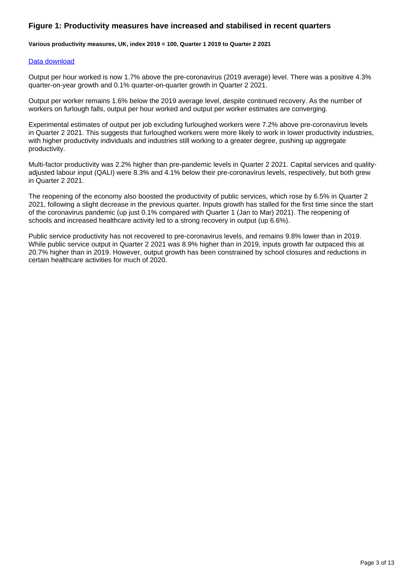#### **Figure 1: Productivity measures have increased and stabilised in recent quarters**

**Various productivity measures, UK, index 2019 = 100, Quarter 1 2019 to Quarter 2 2021**

#### [Data download](https://www.ons.gov.uk/visualisations/dvc1605/linewrapper/datadownload.xlsx)

Output per hour worked is now 1.7% above the pre-coronavirus (2019 average) level. There was a positive 4.3% quarter-on-year growth and 0.1% quarter-on-quarter growth in Quarter 2 2021.

Output per worker remains 1.6% below the 2019 average level, despite continued recovery. As the number of workers on furlough falls, output per hour worked and output per worker estimates are converging.

Experimental estimates of output per job excluding furloughed workers were 7.2% above pre-coronavirus levels in Quarter 2 2021. This suggests that furloughed workers were more likely to work in lower productivity industries, with higher productivity individuals and industries still working to a greater degree, pushing up aggregate productivity.

Multi-factor productivity was 2.2% higher than pre-pandemic levels in Quarter 2 2021. Capital services and qualityadjusted labour input (QALI) were 8.3% and 4.1% below their pre-coronavirus levels, respectively, but both grew in Quarter 2 2021.

The reopening of the economy also boosted the productivity of public services, which rose by 6.5% in Quarter 2 2021, following a slight decrease in the previous quarter. Inputs growth has stalled for the first time since the start of the coronavirus pandemic (up just 0.1% compared with Quarter 1 (Jan to Mar) 2021). The reopening of schools and increased healthcare activity led to a strong recovery in output (up 6.6%).

Public service productivity has not recovered to pre-coronavirus levels, and remains 9.8% lower than in 2019. While public service output in Quarter 2 2021 was 8.9% higher than in 2019, inputs growth far outpaced this at 20.7% higher than in 2019. However, output growth has been constrained by school closures and reductions in certain healthcare activities for much of 2020.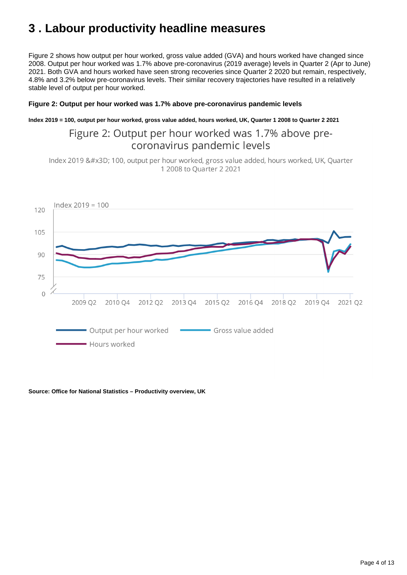## <span id="page-3-0"></span>**3 . Labour productivity headline measures**

Figure 2 shows how output per hour worked, gross value added (GVA) and hours worked have changed since 2008. Output per hour worked was 1.7% above pre-coronavirus (2019 average) levels in Quarter 2 (Apr to June) 2021. Both GVA and hours worked have seen strong recoveries since Quarter 2 2020 but remain, respectively, 4.8% and 3.2% below pre-coronavirus levels. Their similar recovery trajectories have resulted in a relatively stable level of output per hour worked.

#### **Figure 2: Output per hour worked was 1.7% above pre-coronavirus pandemic levels**

**Index 2019 = 100, output per hour worked, gross value added, hours worked, UK, Quarter 1 2008 to Quarter 2 2021**

### Figure 2: Output per hour worked was 1.7% above precoronavirus pandemic levels

Index 2019 = 100, output per hour worked, gross value added, hours worked, UK, Quarter 1 2008 to Quarter 2 2021



#### **Source: Office for National Statistics – Productivity overview, UK**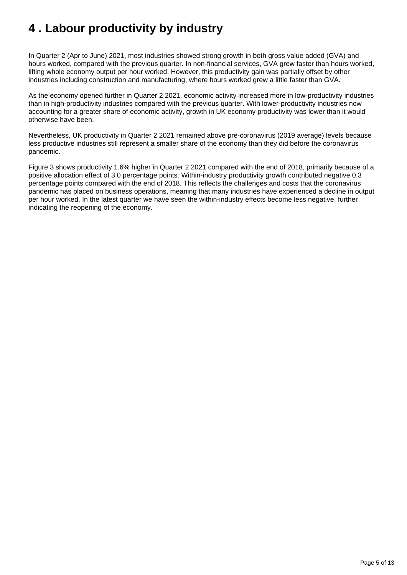## <span id="page-4-0"></span>**4 . Labour productivity by industry**

In Quarter 2 (Apr to June) 2021, most industries showed strong growth in both gross value added (GVA) and hours worked, compared with the previous quarter. In non-financial services, GVA grew faster than hours worked, lifting whole economy output per hour worked. However, this productivity gain was partially offset by other industries including construction and manufacturing, where hours worked grew a little faster than GVA.

As the economy opened further in Quarter 2 2021, economic activity increased more in low-productivity industries than in high-productivity industries compared with the previous quarter. With lower-productivity industries now accounting for a greater share of economic activity, growth in UK economy productivity was lower than it would otherwise have been.

Nevertheless, UK productivity in Quarter 2 2021 remained above pre-coronavirus (2019 average) levels because less productive industries still represent a smaller share of the economy than they did before the coronavirus pandemic.

Figure 3 shows productivity 1.6% higher in Quarter 2 2021 compared with the end of 2018, primarily because of a positive allocation effect of 3.0 percentage points. Within-industry productivity growth contributed negative 0.3 percentage points compared with the end of 2018. This reflects the challenges and costs that the coronavirus pandemic has placed on business operations, meaning that many industries have experienced a decline in output per hour worked. In the latest quarter we have seen the within-industry effects become less negative, further indicating the reopening of the economy.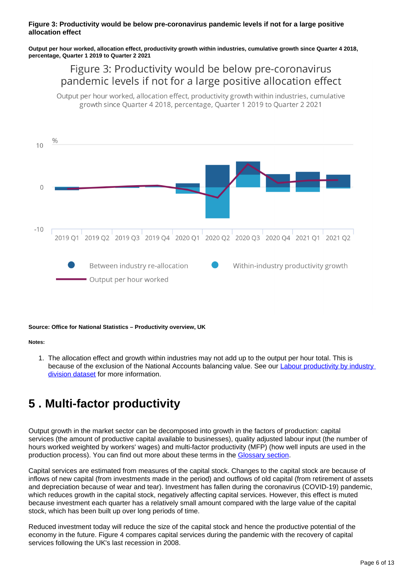#### **Figure 3: Productivity would be below pre-coronavirus pandemic levels if not for a large positive allocation effect**

**Output per hour worked, allocation effect, productivity growth within industries, cumulative growth since Quarter 4 2018, percentage, Quarter 1 2019 to Quarter 2 2021**

### Figure 3: Productivity would be below pre-coronavirus pandemic levels if not for a large positive allocation effect

Output per hour worked, allocation effect, productivity growth within industries, cumulative growth since Quarter 4 2018, percentage, Quarter 1 2019 to Quarter 2 2021



#### **Source: Office for National Statistics – Productivity overview, UK**

#### **Notes:**

1. The allocation effect and growth within industries may not add up to the output per hour total. This is because of the exclusion of the National Accounts balancing value. See our **Labour productivity by industry** [division dataset](https://www.ons.gov.uk/economy/economicoutputandproductivity/productivitymeasures/datasets/labourproductivitybyindustrydivision) for more information.

## <span id="page-5-0"></span>**5 . Multi-factor productivity**

Output growth in the market sector can be decomposed into growth in the factors of production: capital services (the amount of productive capital available to businesses), quality adjusted labour input (the number of hours worked weighted by workers' wages) and multi-factor productivity (MFP) (how well inputs are used in the production process). You can find out more about these terms in the [Glossary section.](https://www.ons.gov.uk/employmentandlabourmarket/peopleinwork/labourproductivity/articles/ukproductivityintroduction/apriltojune2021#glossary)

Capital services are estimated from measures of the capital stock. Changes to the capital stock are because of inflows of new capital (from investments made in the period) and outflows of old capital (from retirement of assets and depreciation because of wear and tear). Investment has fallen during the coronavirus (COVID-19) pandemic, which reduces growth in the capital stock, negatively affecting capital services. However, this effect is muted because investment each quarter has a relatively small amount compared with the large value of the capital stock, which has been built up over long periods of time.

Reduced investment today will reduce the size of the capital stock and hence the productive potential of the economy in the future. Figure 4 compares capital services during the pandemic with the recovery of capital services following the UK's last recession in 2008.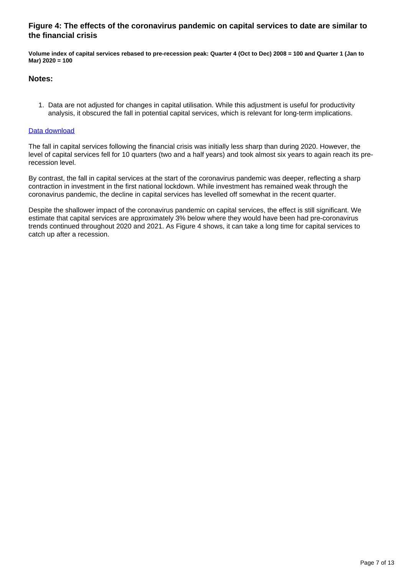#### **Figure 4: The effects of the coronavirus pandemic on capital services to date are similar to the financial crisis**

**Volume index of capital services rebased to pre-recession peak: Quarter 4 (Oct to Dec) 2008 = 100 and Quarter 1 (Jan to Mar) 2020 = 100**

#### **Notes:**

1. Data are not adjusted for changes in capital utilisation. While this adjustment is useful for productivity analysis, it obscured the fall in potential capital services, which is relevant for long-term implications.

#### [Data download](https://www.ons.gov.uk/visualisations/dvc1605/fig4/datadownload.xlsx)

The fall in capital services following the financial crisis was initially less sharp than during 2020. However, the level of capital services fell for 10 quarters (two and a half years) and took almost six years to again reach its prerecession level.

By contrast, the fall in capital services at the start of the coronavirus pandemic was deeper, reflecting a sharp contraction in investment in the first national lockdown. While investment has remained weak through the coronavirus pandemic, the decline in capital services has levelled off somewhat in the recent quarter.

Despite the shallower impact of the coronavirus pandemic on capital services, the effect is still significant. We estimate that capital services are approximately 3% below where they would have been had pre-coronavirus trends continued throughout 2020 and 2021. As Figure 4 shows, it can take a long time for capital services to catch up after a recession.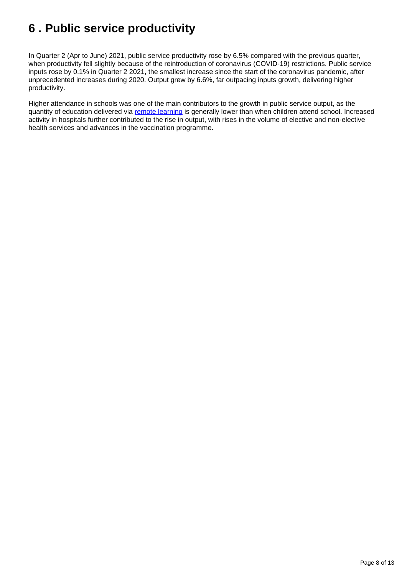## <span id="page-7-0"></span>**6 . Public service productivity**

In Quarter 2 (Apr to June) 2021, public service productivity rose by 6.5% compared with the previous quarter, when productivity fell slightly because of the reintroduction of coronavirus (COVID-19) restrictions. Public service inputs rose by 0.1% in Quarter 2 2021, the smallest increase since the start of the coronavirus pandemic, after unprecedented increases during 2020. Output grew by 6.6%, far outpacing inputs growth, delivering higher productivity.

Higher attendance in schools was one of the main contributors to the growth in public service output, as the quantity of education delivered via [remote learning](https://www.ons.gov.uk/peoplepopulationandcommunity/educationandchildcare/articles/remoteschoolingthroughthecoronaviruscovid19pandemicengland/april2020tojune2021) is generally lower than when children attend school. Increased activity in hospitals further contributed to the rise in output, with rises in the volume of elective and non-elective health services and advances in the vaccination programme.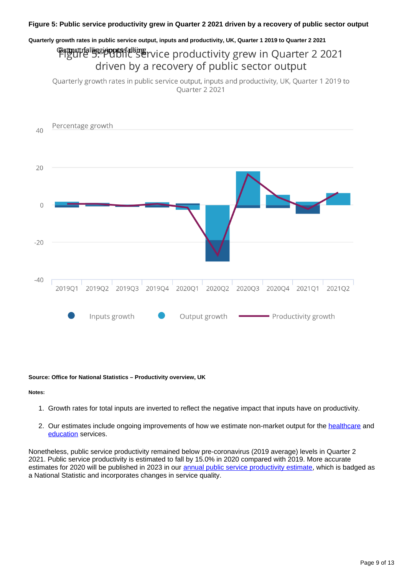#### **Quarterly growth rates in public service output, inputs and productivity, UK, Quarter 1 2019 to Quarter 2 2021**

## **Proutriel besidented alling Exercice productivity grew in Quarter 2 2021** driven by a recovery of public sector output

Quarterly growth rates in public service output, inputs and productivity, UK, Quarter 1 2019 to Quarter 2 2021



#### **Source: Office for National Statistics – Productivity overview, UK**

#### **Notes:**

- 1. Growth rates for total inputs are inverted to reflect the negative impact that inputs have on productivity.
- 2. Our estimates include ongoing improvements of how we estimate non-market output for the [healthcare](https://www.ons.gov.uk/releases/measuringtheeconomicoutputofcovid19testingtracingandvaccinations) and [education](https://www.ons.gov.uk/economy/grossdomesticproductgdp/articles/coronavirusandtheimpactonmeasuresofukgovernmenteducationoutput/march2020tofebruary2021) services.

Nonetheless, public service productivity remained below pre-coronavirus (2019 average) levels in Quarter 2 2021. Public service productivity is estimated to fall by 15.0% in 2020 compared with 2019. More accurate estimates for 2020 will be published in 2023 in our [annual public service productivity estimate](https://www.ons.gov.uk/releases/publicserviceproductivitytotaluk2018), which is badged as a National Statistic and incorporates changes in service quality.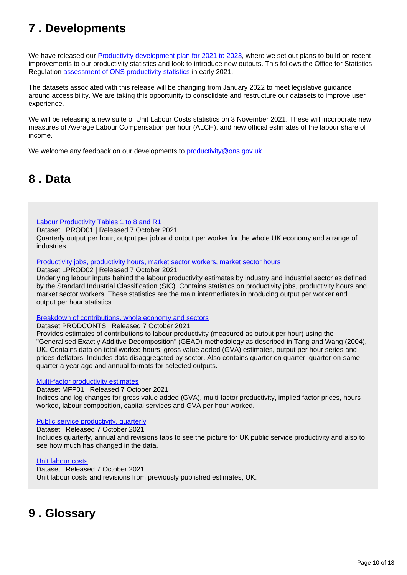## <span id="page-9-0"></span>**7 . Developments**

We have released our [Productivity development plan for 2021 to 2023](https://www.ons.gov.uk/economy/economicoutputandproductivity/productivitymeasures/articles/productivitydevelopmentplan/2021to2023), where we set out plans to build on recent improvements to our productivity statistics and look to introduce new outputs. This follows the Office for Statistics Regulation [assessment of ONS productivity statistics](https://osr.statisticsauthority.gov.uk/publication/assessment-report-uk-productivity-statistics/) in early 2021.

The datasets associated with this release will be changing from January 2022 to meet legislative guidance around accessibility. We are taking this opportunity to consolidate and restructure our datasets to improve user experience.

We will be releasing a new suite of Unit Labour Costs statistics on 3 November 2021. These will incorporate new measures of Average Labour Compensation per hour (ALCH), and new official estimates of the labour share of income.

We welcome any feedback on our developments to [productivity@ons.gov.uk.](mailto:productivity@ons.gov.uk)

## <span id="page-9-1"></span>**8 . Data**

#### [Labour Productivity Tables 1 to 8 and R1](https://www.ons.gov.uk/employmentandlabourmarket/peopleinwork/labourproductivity/datasets/labourproductivitytables110andr1)

Dataset LPROD01 | Released 7 October 2021 Quarterly output per hour, output per job and output per worker for the whole UK economy and a range of industries.

#### [Productivity jobs, productivity hours, market sector workers, market sector hours](https://www.ons.gov.uk/employmentandlabourmarket/peopleinwork/labourproductivity/datasets/productivityjobsproductivityhoursmarketsectorworkersmarketsectorhours)

Dataset LPROD02 | Released 7 October 2021

Underlying labour inputs behind the labour productivity estimates by industry and industrial sector as defined by the Standard Industrial Classification (SIC). Contains statistics on productivity jobs, productivity hours and market sector workers. These statistics are the main intermediates in producing output per worker and output per hour statistics.

#### [Breakdown of contributions, whole economy and sectors](https://www.ons.gov.uk/employmentandlabourmarket/peopleinwork/labourproductivity/datasets/annualbreakdownofcontributionswholeeconomyandsectors)

#### Dataset PRODCONTS | Released 7 October 2021

Provides estimates of contributions to labour productivity (measured as output per hour) using the "Generalised Exactly Additive Decomposition" (GEAD) methodology as described in Tang and Wang (2004), UK. Contains data on total worked hours, gross value added (GVA) estimates, output per hour series and prices deflators. Includes data disaggregated by sector. Also contains quarter on quarter, quarter-on-samequarter a year ago and annual formats for selected outputs.

#### [Multi-factor productivity estimates](https://www.ons.gov.uk/economy/economicoutputandproductivity/productivitymeasures/datasets/multifactorproductivityexperimentalestimatesreferencetables)

Dataset MFP01 | Released 7 October 2021

Indices and log changes for gross value added (GVA), multi-factor productivity, implied factor prices, hours worked, labour composition, capital services and GVA per hour worked.

#### [Public service productivity, quarterly](https://www.ons.gov.uk/employmentandlabourmarket/peopleinwork/labourproductivity/datasets/quarterlypublicserviceproductivityexperimentalstatistics)

Dataset | Released 7 October 2021 Includes quarterly, annual and revisions tabs to see the picture for UK public service productivity and also to see how much has changed in the data.

#### [Unit labour costs](https://www.ons.gov.uk/employmentandlabourmarket/peopleinwork/labourproductivity/datasets/unitlabourcosts)

Dataset | Released 7 October 2021 Unit labour costs and revisions from previously published estimates, UK.

## <span id="page-9-2"></span>**9 . Glossary**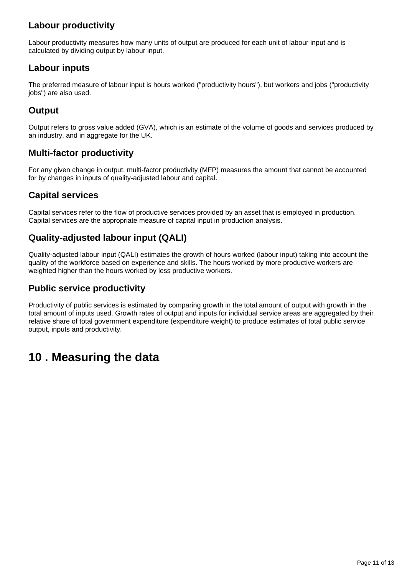### **Labour productivity**

Labour productivity measures how many units of output are produced for each unit of labour input and is calculated by dividing output by labour input.

### **Labour inputs**

The preferred measure of labour input is hours worked ("productivity hours"), but workers and jobs ("productivity jobs") are also used.

### **Output**

Output refers to gross value added (GVA), which is an estimate of the volume of goods and services produced by an industry, and in aggregate for the UK.

### **Multi-factor productivity**

For any given change in output, multi-factor productivity (MFP) measures the amount that cannot be accounted for by changes in inputs of quality-adjusted labour and capital.

### **Capital services**

Capital services refer to the flow of productive services provided by an asset that is employed in production. Capital services are the appropriate measure of capital input in production analysis.

### **Quality-adjusted labour input (QALI)**

Quality-adjusted labour input (QALI) estimates the growth of hours worked (labour input) taking into account the quality of the workforce based on experience and skills. The hours worked by more productive workers are weighted higher than the hours worked by less productive workers.

### **Public service productivity**

Productivity of public services is estimated by comparing growth in the total amount of output with growth in the total amount of inputs used. Growth rates of output and inputs for individual service areas are aggregated by their relative share of total government expenditure (expenditure weight) to produce estimates of total public service output, inputs and productivity.

## <span id="page-10-0"></span>**10 . Measuring the data**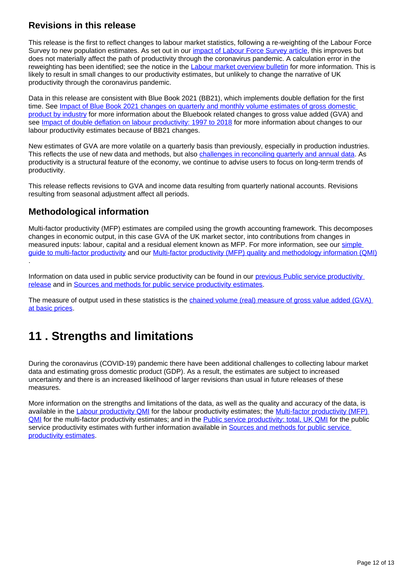### **Revisions in this release**

This release is the first to reflect changes to labour market statistics, following a re-weighting of the Labour Force Survey to new population estimates. As set out in our *impact of Labour Force Survey article*, this improves but does not materially affect the path of productivity through the coronavirus pandemic. A calculation error in the reweighting has been identified; see the notice in the [Labour market overview bulletin](https://www.ons.gov.uk/employmentandlabourmarket/peopleinwork/employmentandemployeetypes/bulletins/uklabourmarket/september2021) for more information. This is likely to result in small changes to our productivity estimates, but unlikely to change the narrative of UK productivity through the coronavirus pandemic.

Data in this release are consistent with Blue Book 2021 (BB21), which implements double deflation for the first time. See Impact of Blue Book 2021 changes on quarterly and monthly volume estimates of gross domestic [product by industry](https://www.ons.gov.uk/economy/grossdomesticproductgdp/articles/impactofbluebook2021changesonquarterlyandmonthlyvolumeestimatesofgrossdomesticproductbyindustry/2021-09-08) for more information about the Bluebook related changes to gross value added (GVA) and see [Impact of double deflation on labour productivity: 1997 to 2018](https://www.ons.gov.uk/economy/economicoutputandproductivity/productivitymeasures/articles/impactofdoubledeflationonlabourproductivity/1997to2018) for more information about changes to our labour productivity estimates because of BB21 changes.

New estimates of GVA are more volatile on a quarterly basis than previously, especially in production industries. This reflects the use of new data and methods, but also [challenges in reconciling quarterly and annual data.](https://www.ons.gov.uk/economy/grossdomesticproductgdp/datasets/ukgdpolowlevelaggregates) As productivity is a structural feature of the economy, we continue to advise users to focus on long-term trends of productivity.

This release reflects revisions to GVA and income data resulting from quarterly national accounts. Revisions resulting from seasonal adjustment affect all periods.

### **Methodological information**

Multi-factor productivity (MFP) estimates are compiled using the growth accounting framework. This decomposes changes in economic output, in this case GVA of the UK market sector, into contributions from changes in measured inputs: labour, capital and a residual element known as MFP. For more information, see our [simple](https://www.ons.gov.uk/economy/economicoutputandproductivity/productivitymeasures/methodologies/asimpleguidetomultifactorproductivity)  [guide to multi-factor productivity](https://www.ons.gov.uk/economy/economicoutputandproductivity/productivitymeasures/methodologies/asimpleguidetomultifactorproductivity) and our [Multi-factor productivity \(MFP\) quality and methodology information \(QMI\)](https://www.ons.gov.uk/economy/economicoutputandproductivity/productivitymeasures/methodologies/multifactorproductivityqmi) .

Information on data used in public service productivity can be found in our [previous Public service productivity](https://www.ons.gov.uk/employmentandlabourmarket/peopleinwork/labourproductivity/articles/quarterlypublicserviceproductivityexperimentalstatistics/quarterlyukoctobertodecember2019#background-to-public-service-productivity-measurement)  [release](https://www.ons.gov.uk/employmentandlabourmarket/peopleinwork/labourproductivity/articles/quarterlypublicserviceproductivityexperimentalstatistics/quarterlyukoctobertodecember2019#background-to-public-service-productivity-measurement) and in [Sources and methods for public service productivity estimates](https://www.ons.gov.uk/economy/economicoutputandproductivity/publicservicesproductivity/methodologies/sourcesandmethodsforpublicserviceproductivityestimates#output).

The measure of output used in these statistics is the chained volume (real) measure of gross value added (GVA) [at basic prices](https://www.ons.gov.uk/employmentandlabourmarket/peopleinwork/labourproductivity/bulletins/labourproductivity/octobertodecember2019#measuring-the-data).

## <span id="page-11-0"></span>**11 . Strengths and limitations**

During the coronavirus (COVID-19) pandemic there have been additional challenges to collecting labour market data and estimating gross domestic product (GDP). As a result, the estimates are subject to increased uncertainty and there is an increased likelihood of larger revisions than usual in future releases of these measures.

More information on the strengths and limitations of the data, as well as the quality and accuracy of the data, is available in the [Labour productivity QMI](https://www.ons.gov.uk/employmentandlabourmarket/peopleinwork/labourproductivity/methodologies/labourproductivityqmi) for the labour productivity estimates; the Multi-factor productivity (MFP) [QMI](https://www.ons.gov.uk/economy/economicoutputandproductivity/productivitymeasures/methodologies/multifactorproductivityqmi) for the multi-factor productivity estimates; and in the [Public service productivity: total, UK QMI](https://www.ons.gov.uk/economy/economicoutputandproductivity/publicservicesproductivity/methodologies/publicserviceproductivityestimatestotalpublicservicesqmi) for the public service productivity estimates with further information available in Sources and methods for public service [productivity estimates.](https://www.ons.gov.uk/economy/economicoutputandproductivity/publicservicesproductivity/methodologies/sourcesandmethodsforpublicserviceproductivityestimates#output)